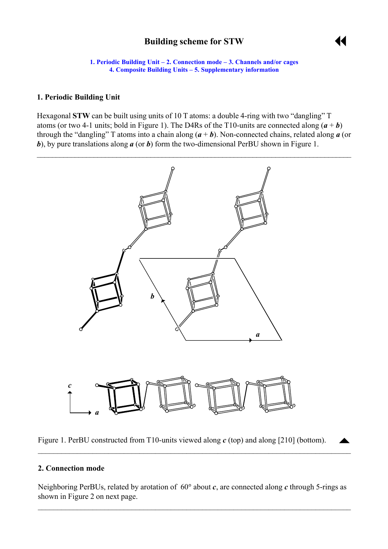# **Building scheme for STW**



 $\blacktriangle$ 

**1. Periodic Building Unit – 2. Connection mode – [3. Channels and/or cages](#page-2-0) [4. Composite Building Units](#page-3-0) [– 5. Supplementary information](#page-4-0)**

#### <span id="page-0-0"></span>**1. Periodic Building Unit**

Hexagonal **STW** can be built using units of 10 T atoms: a double 4-ring with two "dangling" T atoms (or two 4-1 units; bold in Figure 1). The D4Rs of the T10-units are connected along  $(a + b)$ through the "dangling" T atoms into a chain along  $(a + b)$ . Non-connected chains, related along *a* (or *b*), by pure translations along *a* (or *b*) form the two-dimensional PerBU shown in Figure 1.



Figure 1. PerBU constructed from T10-units viewed along *c* (top) and along [210] (bottom).

### **2. Connection mode**

Neighboring PerBUs, related by arotation of 60° about *c*, are connected along *c* through 5-rings as shown in Figure 2 on next page.

 $\mathcal{L}_\mathcal{L} = \{ \mathcal{L}_\mathcal{L} = \{ \mathcal{L}_\mathcal{L} = \{ \mathcal{L}_\mathcal{L} = \{ \mathcal{L}_\mathcal{L} = \{ \mathcal{L}_\mathcal{L} = \{ \mathcal{L}_\mathcal{L} = \{ \mathcal{L}_\mathcal{L} = \{ \mathcal{L}_\mathcal{L} = \{ \mathcal{L}_\mathcal{L} = \{ \mathcal{L}_\mathcal{L} = \{ \mathcal{L}_\mathcal{L} = \{ \mathcal{L}_\mathcal{L} = \{ \mathcal{L}_\mathcal{L} = \{ \mathcal{L}_\mathcal{$ 

 $\mathcal{L}_\mathcal{L} = \{ \mathcal{L}_\mathcal{L} = \{ \mathcal{L}_\mathcal{L} = \{ \mathcal{L}_\mathcal{L} = \{ \mathcal{L}_\mathcal{L} = \{ \mathcal{L}_\mathcal{L} = \{ \mathcal{L}_\mathcal{L} = \{ \mathcal{L}_\mathcal{L} = \{ \mathcal{L}_\mathcal{L} = \{ \mathcal{L}_\mathcal{L} = \{ \mathcal{L}_\mathcal{L} = \{ \mathcal{L}_\mathcal{L} = \{ \mathcal{L}_\mathcal{L} = \{ \mathcal{L}_\mathcal{L} = \{ \mathcal{L}_\mathcal{$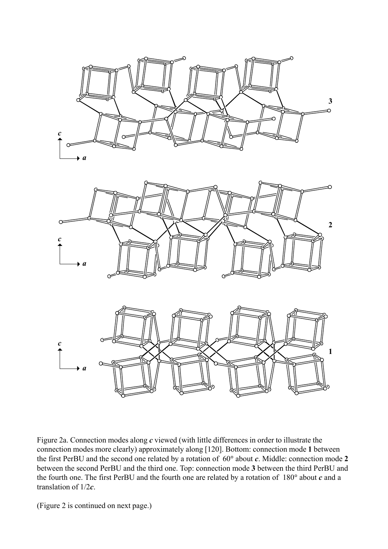





Figure 2a. Connection modes along *c* viewed (with little differences in order to illustrate the connection modes more clearly) approximately along [120]. Bottom: connection mode **1** between the first PerBU and the second one related by a rotation of 60° about *c*. Middle: connection mode **2** between the second PerBU and the third one. Top: connection mode **3** between the third PerBU and the fourth one. The first PerBU and the fourth one are related by a rotation of 180° about *c* and a translation of 1/2*c*.

(Figure 2 is continued on next page.)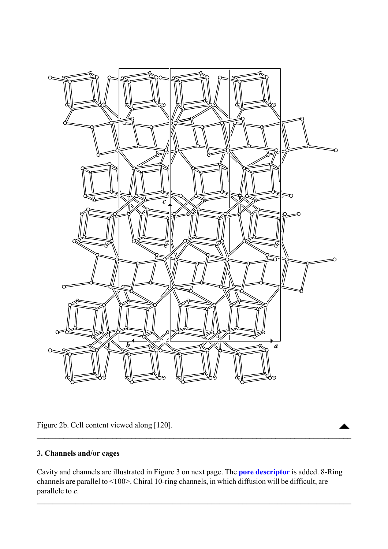<span id="page-2-0"></span>

Figure 2b. Cell content viewed along [120].

## **3. Channels and/or cages**

Cavity and channels are illustrated in Figure 3 on next page. The **[pore descriptor](http://www.iza-structure.org/databases/ModelBuilding/Introduction.pdf)** is added. 8-Ring channels are parallel to <100>. Chiral 10-ring channels, in which diffusion will be difficult, are parallelc to *c*.

**\_\_\_\_\_\_\_\_\_\_\_\_\_\_\_\_\_\_\_\_\_\_\_\_\_\_\_\_\_\_\_\_\_\_\_\_\_\_\_\_\_\_\_\_\_\_\_\_\_\_\_\_\_\_\_\_\_\_\_\_\_\_\_\_\_\_\_\_\_\_\_\_\_\_\_\_\_\_\_\_\_**

 $\mathcal{L}_\mathcal{L} = \mathcal{L}_\mathcal{L} = \mathcal{L}_\mathcal{L} = \mathcal{L}_\mathcal{L} = \mathcal{L}_\mathcal{L} = \mathcal{L}_\mathcal{L} = \mathcal{L}_\mathcal{L} = \mathcal{L}_\mathcal{L} = \mathcal{L}_\mathcal{L} = \mathcal{L}_\mathcal{L} = \mathcal{L}_\mathcal{L} = \mathcal{L}_\mathcal{L} = \mathcal{L}_\mathcal{L} = \mathcal{L}_\mathcal{L} = \mathcal{L}_\mathcal{L} = \mathcal{L}_\mathcal{L} = \mathcal{L}_\mathcal{L}$ 

 $\blacktriangle$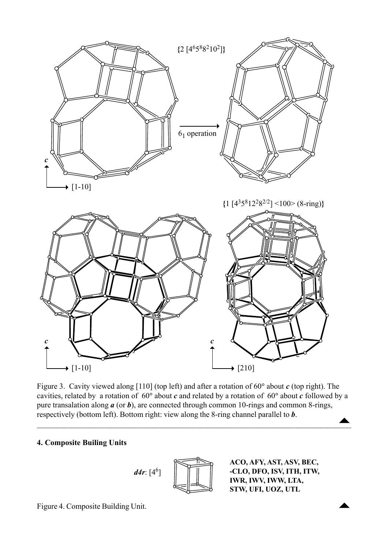<span id="page-3-0"></span>

Figure 3. Cavity viewed along [110] (top left) and after a rotation of 60° about *c* (top right). The cavities, related by a rotation of 60° about *c* and related by a rotation of 60° about *c* followed by a pure transalation along *a* (or *b*), are connected through common 10-rings and common 8-rings, respectively (bottom left). Bottom right: view along the 8-ring channel parallel to *b*.  $\blacktriangle$ 

 $\blacksquare$  . The contract of the contract of the contract of the contract of the contract of the contract of the contract of

### **4. Composite Builing Units**



**ACO, AFY, AST, ASV, BEC, -CLO, DFO, ISV, ITH, ITW, IWR, IWV, IWW, LTA, STW, UFI, UOZ, UTL**